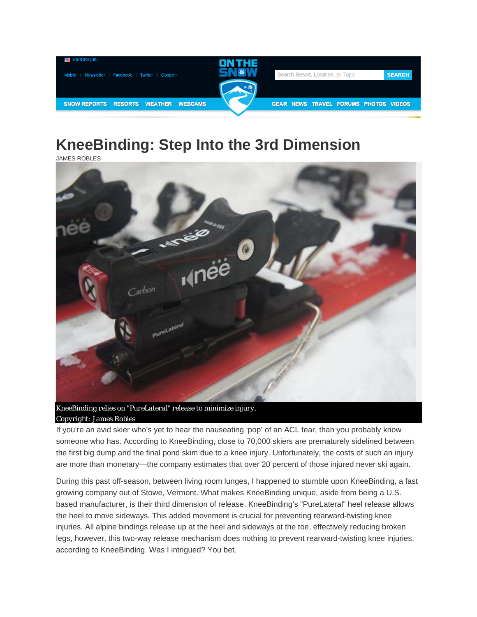

## **KneeBinding: Step Into the 3rd Dimension**

JAMES ROBLES



*Copyright: James Robles* 

If you're an avid skier who's yet to hear the nauseating 'pop' of an ACL tear, than you probably know someone who has. According to KneeBinding, close to 70,000 skiers are prematurely sidelined between the first big dump and the final pond skim due to a knee injury. Unfortunately, the costs of such an injury are more than monetary—the company estimates that over 20 percent of those injured never ski again.

During this past off-season, between living room lunges, I happened to stumble upon KneeBinding, a fast growing company out of Stowe, Vermont. What makes KneeBinding unique, aside from being a U.S. based manufacturer, is their third dimension of release. KneeBinding's "PureLateral" heel release allows the heel to move sideways. This added movement is crucial for preventing rearward-twisting knee injuries. All alpine bindings release up at the heel and sideways at the toe, effectively reducing broken legs, however, this two-way release mechanism does nothing to prevent rearward-twisting knee injuries, according to KneeBinding. Was I intrigued? You bet.